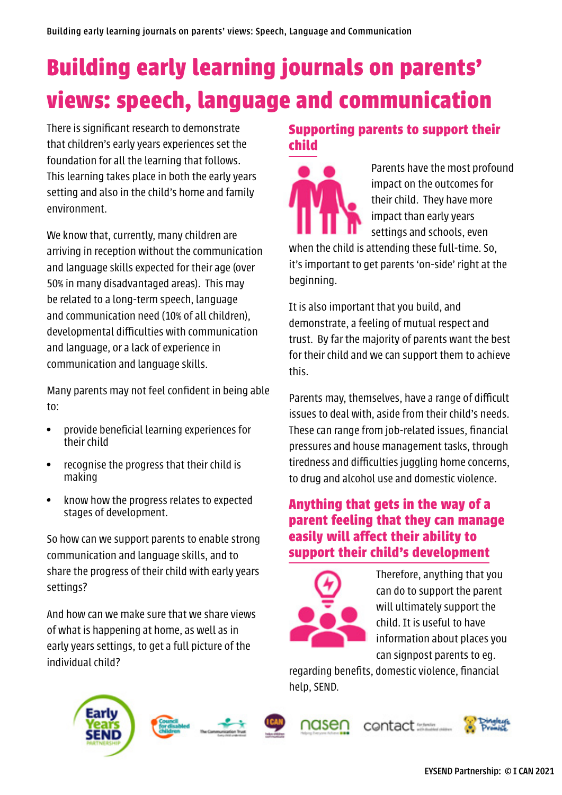# **Building early learning journals on parents' views: speech, language and communication**

There is significant research to demonstrate that children's early years experiences set the foundation for all the learning that follows. This learning takes place in both the early years setting and also in the child's home and family environment.

We know that, currently, many children are arriving in reception without the communication and language skills expected for their age (over 50% in many disadvantaged areas). This may be related to a long-term speech, language and communication need (10% of all children), developmental difficulties with communication and language, or a lack of experience in communication and language skills.

Many parents may not feel confident in being able to:

- **•** provide beneficial learning experiences for their child
- **•** recognise the progress that their child is making
- **•** know how the progress relates to expected stages of development.

So how can we support parents to enable strong communication and language skills, and to share the progress of their child with early years settings?

And how can we make sure that we share views of what is happening at home, as well as in early years settings, to get a full picture of the individual child?

#### **Supporting parents to support their child**



Parents have the most profound impact on the outcomes for their child. They have more impact than early years settings and schools, even

when the child is attending these full-time. So, it's important to get parents 'on-side' right at the beginning.

It is also important that you build, and demonstrate, a feeling of mutual respect and trust. By far the majority of parents want the best for their child and we can support them to achieve this.

Parents may, themselves, have a range of difficult issues to deal with, aside from their child's needs. These can range from job-related issues, financial pressures and house management tasks, through tiredness and difficulties juggling home concerns, to drug and alcohol use and domestic violence.

# **Anything that gets in the way of a parent feeling that they can manage easily will affect their ability to support their child's development**



Therefore, anything that you can do to support the parent will ultimately support the child. It is useful to have information about places you can signpost parents to eg.

regarding benefits, domestic violence, financial help, SEND.





nasen contact

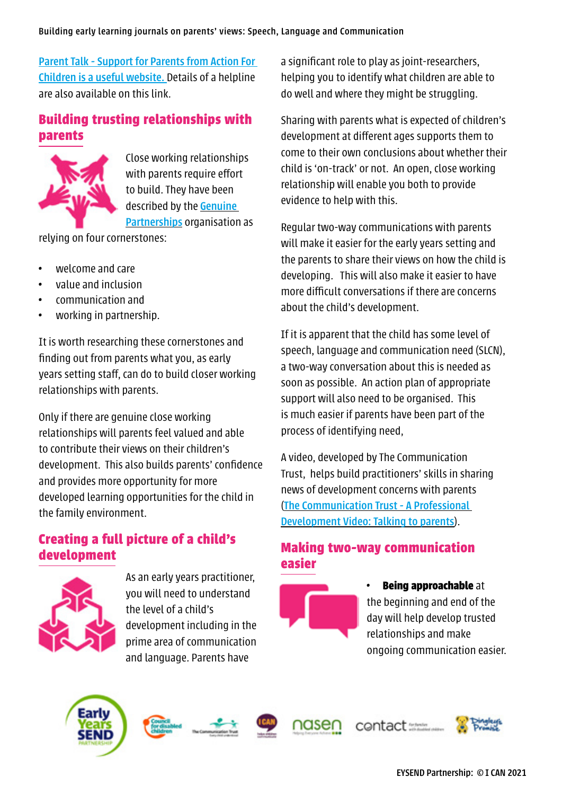Parent Talk - Support for Parents from Action For Children is a useful website. Details of a helpline are also available on this link.

#### **Building trusting relationships with parents**



Close working relationships with parents require effort to build. They have been described by the [Genuine](https://genuinepartnerships.co.uk/)  [Partnerships](https://genuinepartnerships.co.uk/) organisation as

relying on four cornerstones:

- welcome and care
- value and inclusion
- communication and
- working in partnership.

It is worth researching these cornerstones and finding out from parents what you, as early years setting staff, can do to build closer working relationships with parents.

Only if there are genuine close working relationships will parents feel valued and able to contribute their views on their children's development. This also builds parents' confidence and provides more opportunity for more developed learning opportunities for the child in the family environment.

# **Creating a full picture of a child's development**



As an early years practitioner, you will need to understand the level of a child's development including in the prime area of communication and language. Parents have

a significant role to play as joint-researchers, helping you to identify what children are able to do well and where they might be struggling.

Sharing with parents what is expected of children's development at different ages supports them to come to their own conclusions about whether their child is 'on-track' or not. An open, close working relationship will enable you both to provide evidence to help with this.

Regular two-way communications with parents will make it easier for the early years setting and the parents to share their views on how the child is developing. This will also make it easier to have more difficult conversations if there are concerns about the child's development.

If it is apparent that the child has some level of speech, language and communication need (SLCN), a two-way conversation about this is needed as soon as possible. An action plan of appropriate support will also need to be organised. This is much easier if parents have been part of the process of identifying need,

A video, developed by The Communication Trust, helps build practitioners' skills in sharing news of development concerns with parents ([The Communication Trust - A Professional](https://www.thecommunicationtrust.org.uk/talkingtoparents)  [Development Video: Talking to parents](https://www.thecommunicationtrust.org.uk/talkingtoparents)).

# **Making two-way communication easier**



#### • **Being approachable** at

the beginning and end of the day will help develop trusted relationships and make ongoing communication easier.









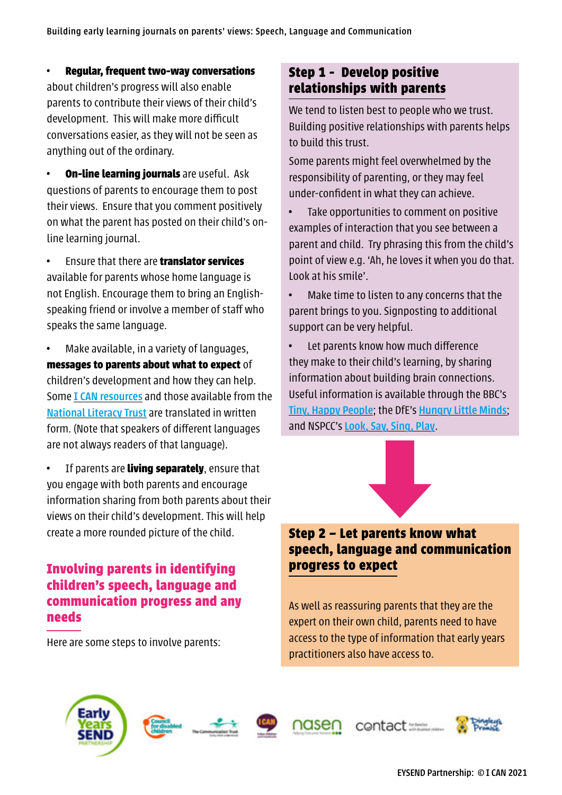• **Regular, frequent two-way conversations**  about children's progress will also enable parents to contribute their views of their child's development. This will make more difficult conversations easier, as they will not be seen as anything out of the ordinary.

• **On-line learning journals** are useful. Ask questions of parents to encourage them to post their views. Ensure that you comment positively on what the parent has posted on their child's online learning journal.

• Ensure that there are **translator services**  available for parents whose home language is not English. Encourage them to bring an Englishspeaking friend or involve a member of staff who speaks the same language.

• Make available, in a variety of languages, **messages to parents about what to expect** of children's development and how they can help. Some **[I CAN resources](https://ican.org.uk/i-cans-talking-point/parents/resources/)** and those available from the [National Literacy Trust](https://literacytrust.org.uk/early-years/bilingual-quick-tips/) are translated in written form. (Note that speakers of different languages are not always readers of that language).

• If parents are **living separately**, ensure that you engage with both parents and encourage information sharing from both parents about their views on their child's development. This will help create a more rounded picture of the child.

### **Involving parents in identifying children's speech, language and communication progress and any needs**

Here are some steps to involve parents:

# **Step 1 - Develop positive relationships with parents**

We tend to listen best to people who we trust. Building positive relationships with parents helps to build this trust.

Some parents might feel overwhelmed by the responsibility of parenting, or they may feel under-confident in what they can achieve.

• Take opportunities to comment on positive examples of interaction that you see between a parent and child. Try phrasing this from the child's point of view e.g. 'Ah, he loves it when you do that. Look at his smile'.

• Make time to listen to any concerns that the parent brings to you. Signposting to additional support can be very helpful.

• Let parents know how much difference they make to their child's learning, by sharing information about building brain connections. Useful information is available through the BBC's [Tiny, Happy People](https://www.bbc.co.uk/tiny-happy-people); the DfE's [Hungry Little Minds](https://hungrylittleminds.campaign.gov.uk/); and NSPCC's [Look, Say, Sing, Play](https://www.nspcc.org.uk/keeping-children-safe/support-for-parents/look-say-sing-play/).



# **Step 2 – Let parents know what speech, language and communication progress to expect**

As well as reassuring parents that they are the expert on their own child, parents need to have access to the type of information that early years practitioners also have access to.





nasen contact:

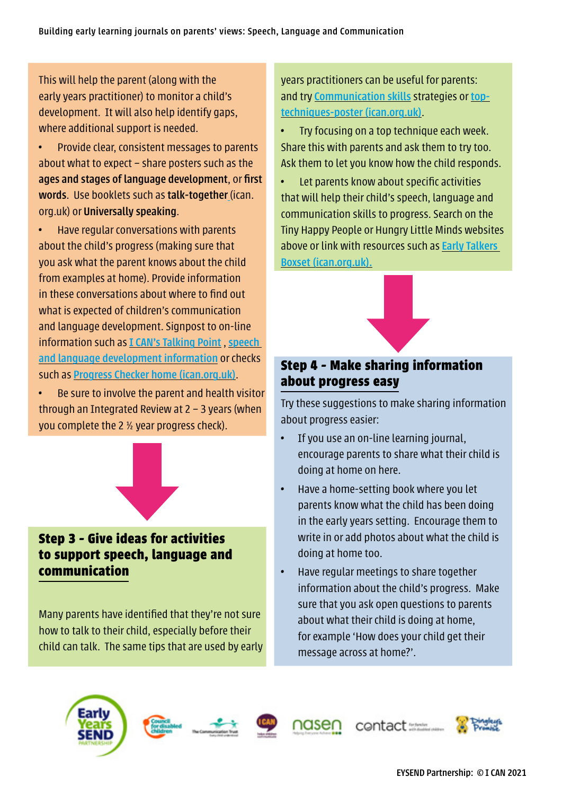This will help the parent (along with the early years practitioner) to monitor a child's development. It will also help identify gaps, where additional support is needed.

• Provide clear, consistent messages to parents about what to expect – share posters such as the [ages and stages of language development](https://ican.org.uk/shop/ages-and-stages-of-development-poster/), or [first](https://ican.org.uk/shop/first-words-poster/)  [words](https://ican.org.uk/shop/first-words-poster/). Use booklets such as [talk-together](https://ican.org.uk/media/2386/talk-together-2020.pdf) (ican. org.uk) or [Universally speaking](https://www.thecommunicationtrust.org.uk/media/363847/tct_univspeak_0-5.pdf).

• Have regular conversations with parents about the child's progress (making sure that you ask what the parent knows about the child from examples at home). Provide information in these conversations about where to find out what is expected of children's communication and language development. Signpost to on-line information such as [I CAN's Talking Point](https://ican.org.uk/i-cans-talking-point/) , [speech](https://ican.org.uk/i-cans-talking-point/parents/ages-and-stages/)  [and language development information](https://ican.org.uk/i-cans-talking-point/parents/ages-and-stages/) or checks such as [Progress Checker home \(ican.org.uk\)](https://ican.org.uk/i-cans-talking-point/progress-checker-home/).

• Be sure to involve the parent and health visitor through an Integrated Review at 2 – 3 years (when you complete the 2 ½ year progress check).



#### **Step 3 - Give ideas for activities to support speech, language and communication**

Many parents have identified that they're not sure how to talk to their child, especially before their child can talk. The same tips that are used by early years practitioners can be useful for parents: and try [Communication skills](https://councilfordisabledchildren.org.uk/sites/default/files/uploads/UPDATEDSRI_I CAN - communication skills strategies %281%29.pdf) strategies or [top](https://ican.org.uk/media/2090/top-tecniques-poster.pdf)[techniques-poster \(ican.org.uk\)](https://ican.org.uk/media/2090/top-tecniques-poster.pdf).

• Try focusing on a top technique each week. Share this with parents and ask them to try too. Ask them to let you know how the child responds.

Let parents know about specific activities that will help their child's speech, language and communication skills to progress. Search on the Tiny Happy People or Hungry Little Minds websites above or link with resources such as [Early Talkers](https://ican.org.uk/shop/early-talkers-boxset/)  [Boxset \(ican.org.uk\)](https://ican.org.uk/shop/early-talkers-boxset/).



#### **Step 4 - Make sharing information about progress easy**

Try these suggestions to make sharing information about progress easier:

- If you use an on-line learning journal, encourage parents to share what their child is doing at home on here.
- Have a home-setting book where you let parents know what the child has been doing in the early years setting. Encourage them to write in or add photos about what the child is doing at home too.
- Have regular meetings to share together information about the child's progress. Make sure that you ask open questions to parents about what their child is doing at home, for example 'How does your child get their message across at home?'.







nasen contact:

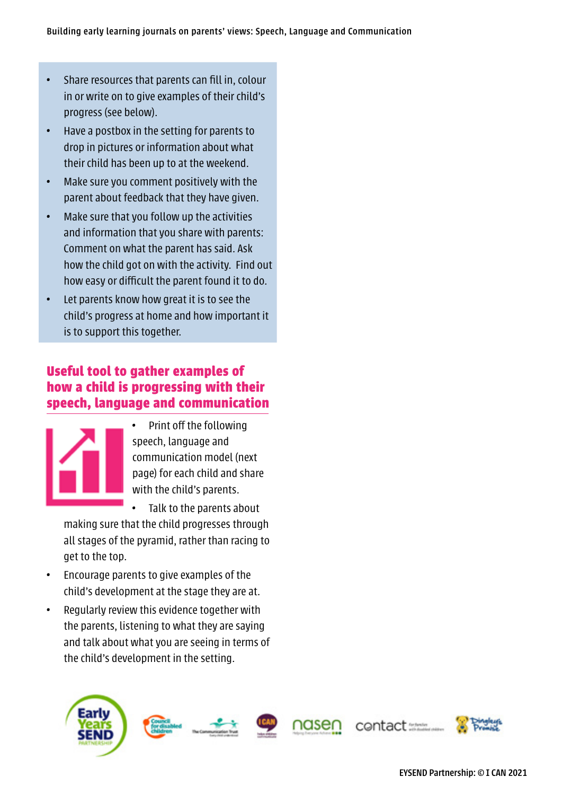- Share resources that parents can fill in, colour in or write on to give examples of their child's progress (see below).
- Have a postbox in the setting for parents to drop in pictures or information about what their child has been up to at the weekend.
- Make sure you comment positively with the parent about feedback that they have given.
- Make sure that you follow up the activities and information that you share with parents: Comment on what the parent has said. Ask how the child got on with the activity. Find out how easy or difficult the parent found it to do.
- Let parents know how great it is to see the child's progress at home and how important it is to support this together.

# **Useful tool to gather examples of how a child is progressing with their speech, language and communication**



• Print off the following speech, language and communication model (next page) for each child and share with the child's parents.

Talk to the parents about making sure that the child progresses through all stages of the pyramid, rather than racing to get to the top.

- Encourage parents to give examples of the child's development at the stage they are at.
- Regularly review this evidence together with the parents, listening to what they are saying and talk about what you are seeing in terms of the child's development in the setting.